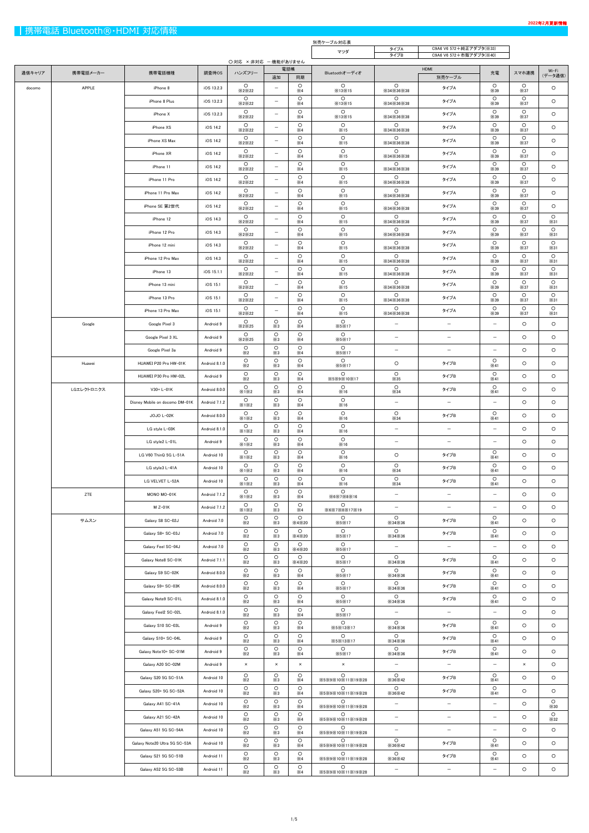|        | 別売ケーブル対応表<br>C9A6 V6 572+純正アダプタ(※33) |                                |               |                        |                              |                                   |                             |                                                |                          |                                     |                        |                        |
|--------|--------------------------------------|--------------------------------|---------------|------------------------|------------------------------|-----------------------------------|-----------------------------|------------------------------------------------|--------------------------|-------------------------------------|------------------------|------------------------|
|        |                                      |                                |               |                        |                              |                                   | マツダ                         | タイプA<br>タイプB                                   | C9A6 V6 572+市販アダプタ(※40)  |                                     |                        |                        |
| 通信キャリア | 携帯電話メーカー                             | 携帯電話機種                         | 調査時OS         | ハンズフリー                 | 〇:対応 ×:非対応 一:機能がありません<br>電話帳 |                                   | Bluetoothオーディオ              |                                                | HDMI                     | 充電                                  | スマホ連携                  | Wi-Fi                  |
| docomo | APPLE                                | iPhone 8                       | iOS 13.2.3    | $\circ$                | 追加<br>$-$                    | 同期<br>$\circ$                     | $\circ$                     | $\circ$                                        | 別売ケーブル<br>タイプA           | $\circ$                             | $\circ$                | (データ通信)<br>$\circ$     |
|        |                                      | iPhone 8 Plus                  | iOS 13.2.3    | X2X22<br>$\circ$       | $-$                          | $\times 4$<br>$\circ$             | ×13×15<br>$\circ$           | $\times$ 34 $\times$ 36 $\times$ 38<br>$\circ$ | タイプA                     | $\times$ 39<br>$\circ$              | $\times$ 37<br>$\circ$ | $\circ$                |
|        |                                      | iPhone X                       | iOS 13.2.3    | ×2×22<br>$\circ$       | $\qquad \qquad -$            | $\times 4$<br>$\circ$             | ×13×15<br>$\circ$           | $\times$ 34 $\times$ 36 $\times$ 38<br>$\circ$ | タイプA                     | $\times$ 39<br>$\circ$              | ×37<br>$\circ$         | $\circ$                |
|        |                                      |                                |               | X2X22<br>$\circ$       | $\overline{\phantom{0}}$     | $\times 4$<br>$\circ$             | ×13×15<br>$\circ$           | $\times$ 34 $\times$ 36 $\times$ 38<br>$\circ$ |                          | $\times$ 39<br>$\circ$              | $\times$ 37<br>$\circ$ |                        |
|        |                                      | iPhone XS                      | iOS 14.2      | X2X22<br>$\circ$       |                              | $\times 4$<br>$\circ$             | ×15<br>$\circ$              | ×34×36×38<br>$\circ$                           | タイプA                     | $\times$ 39<br>$\circ$              | ×37<br>$\circ$         | $\circ$                |
|        |                                      | iPhone XS Max                  | iOS 14.2      | X2X22<br>$\circ$       | $\overline{\phantom{m}}$     | $\times 4$<br>$\circ$             | ×15<br>$\circ$              | $\times$ 34 $\times$ 36 $\times$ 38<br>$\circ$ | タイプA                     | $\times$ 39<br>$\circ$              | $\times$ 37<br>$\circ$ | $\circ$                |
|        |                                      | iPhone XR                      | iOS 14.2      | ×2×22<br>$\circ$       | $\overline{\phantom{0}}$     | $\times 4$                        | ×15<br>$\circ$              | $\times$ 34 $\times$ 36 $\times$ 38            | タイプA                     | $\times$ 39<br>$\circ$              | $\times$ 37<br>$\circ$ | $\circ$                |
|        |                                      | iPhone 11                      | iOS 14.2      | X2X22                  | $\overline{\phantom{m}}$     | $\circ$<br>$\times 4$             | ×15                         | $\circ$<br>$\times$ 34 $\times$ 36 $\times$ 38 | タイプA                     | $\times$ 39                         | $\times$ 37            | $\circ$                |
|        |                                      | iPhone 11 Pro                  | iOS 14.2      | $\circ$<br>X2X22       | $-$                          | $\circ$<br>$\times 4$             | $\circ$<br>×15              | $\circ$<br>$\times$ 34 $\times$ 36 $\times$ 38 | タイプA                     | $\circ$<br>$\times$ 39              | $\circ$<br>$\times$ 37 | $\circ$                |
|        |                                      | iPhone 11 Pro Max              | iOS 14.2      | $\circ$<br>X2X22       | $\overline{\phantom{m}}$     | $\circ$<br>$\times 4$             | $\circ$<br>×15              | $\circ$<br>$\times$ 34 $\times$ 36 $\times$ 38 | タイプA                     | $\circ$<br>$\times$ 39              | $\circ$<br>×37         | $\circ$                |
|        |                                      | iPhone SE 第2世代                 | iOS 14.2      | $\circ$<br>X2X22       | $-$                          | $\circ$<br>$\times 4$             | $\circ$<br>×15              | $\circ$<br>×34×36×38                           | タイプA                     | $\circ$<br>$\times$ 39              | $\circ$<br>$\times$ 37 | $\circ$                |
|        |                                      | iPhone 12                      | iOS 14.3      | $\circ$<br>X2X22       | $\overline{\phantom{m}}$     | $\circ$<br>$\times 4$             | $\circ$<br>×15              | $\circ$<br>$\times$ 34 $\times$ 36 $\times$ 38 | タイプA                     | $\circ$<br>$\times$ 39              | $\circ$<br>$\times$ 37 | $\circ$<br>×31         |
|        |                                      | iPhone 12 Pro                  | iOS 14.3      | $\circ$<br>X2X22       | $\overline{\phantom{0}}$     | $\circ$<br>$\times 4$             | $\circ$<br>×15              | $\circ$<br>$\times$ 34 $\times$ 36 $\times$ 38 | タイプA                     | $\circ$<br>$\times$ 39              | $\circ$<br>$\times$ 37 | $\circ$<br>×31         |
|        |                                      | iPhone 12 mini                 | iOS 14.3      | $\circ$<br>X2X22       | -                            | $\circ$<br>$\times 4$             | $\circ$<br>×15              | $\circ$<br>$\times$ 34 $\times$ 36 $\times$ 38 | タイプA                     | $\circ$<br>$\times$ 39              | $\circ$<br>$\times$ 37 | $\circ$<br>×31         |
|        |                                      | iPhone 12 Pro Max              | iOS 14.3      | $\circ$<br>X2X22       | $\overline{\phantom{0}}$     | $\circ$<br>$\times 4$             | $\circ$<br>×15              | $\circ$<br>$\times$ 34 $\times$ 36 $\times$ 38 | タイプA                     | $\circ$<br>$\times$ 39              | $\circ$<br>$\times$ 37 | $\circ$<br>×31         |
|        |                                      | iPhone 13                      | iOS 15.1.1    | $\circ$<br>×2×22       | -                            | $\circ$<br>$\times 4$             | $\circ$<br>×15              | $\circ$<br>$\times$ 34 $\times$ 36 $\times$ 38 | タイプA                     | $\circ$<br>$\times$ 39              | $\circ$<br>$\times$ 37 | $\circ$<br>$\times$ 31 |
|        |                                      | iPhone 13 mini                 | iOS 15.1      | $\circ$<br>X2X22       | $\overline{\phantom{0}}$     | $\circ$<br>$\times 4$             | $\circ$<br>×15              | $\circ$<br>$\times$ 34 $\times$ 36 $\times$ 38 | タイプA                     | $\circ$<br>$\times$ 39              | $\circ$<br>$\times$ 37 | $\circ$<br>×31         |
|        |                                      | iPhone 13 Pro                  | iOS 15.1      | $\circ$<br>×2×22       | $\overline{\phantom{0}}$     | $\circ$<br>$\times 4$             | $\circ$<br>×15              | $\circ$<br>$\times$ 34 $\times$ 36 $\times$ 38 | タイプA                     | $\circ$<br>$\times$ 39              | $\circ$<br>$\times$ 37 | $\circ$<br>×31         |
|        |                                      | iPhone 13 Pro Max              | iOS 15.1      | $\circ$<br>X2X22       | $\qquad \qquad -$            | $\circ$<br>$\times 4$             | $\circ$<br>×15              | $\circ$<br>$\times$ 34 $\times$ 36 $\times$ 38 | タイプA                     | $\circ$<br>$\times$ 39              | $\circ$<br>$\times$ 37 | $\circ$<br>×31         |
|        | Google                               | Google Pixel 3                 | Android 9     | $\circ$<br>X2X25       | $\circ$<br>$\times3$         | $\circ$                           | $\circ$<br><b>X5X17</b>     | $\overline{\phantom{m}}$                       | $\overline{\phantom{a}}$ | $-$                                 | $\circ$                | $\circ$                |
|        |                                      | Google Pixel 3 XL              | Android 9     | $\circ$                | $\circ$                      | $\times 4$<br>$\circ$             | $\circ$                     | $\qquad \qquad -$                              | $\overline{\phantom{m}}$ | $\overline{\phantom{0}}$            | $\circ$                | $\circ$                |
|        |                                      | Google Pixel 3a                | Android 9     | X2X25<br>$\circ$       | $\times3$<br>$\circ$         | $\times 4$<br>$\circ$             | <b>X5X17</b><br>$\circ$     |                                                |                          |                                     | $\circ$                | $\circ$                |
|        | Huawei                               | HUAWEI P20 Pro HW-01K          | Android 8.1.0 | $\times 2$<br>$\circ$  | $\times 3$<br>$\circ$        | $\times 4$<br>$\circ$             | <b>X5X17</b><br>$\circ$     | $\circ$                                        | タイプB                     | $\circ$                             | $\circ$                | $\circ$                |
|        |                                      | HUAWEI P30 Pro HW-02L          | Android 9     | $\times 2$<br>$\circ$  | $\times3$<br>$\circ$         | $\times 4$<br>$\circ$             | <b>X5X17</b><br>$\circ$     | $\circ$                                        | タイプB                     | $\times 41$<br>$\circ$              | $\circ$                | $\circ$                |
|        | LGエレクトロニクス                           | V30+ L-01K                     | Android 8.0.0 | $\times 2$<br>$\circ$  | $\times3$<br>$\circ$         | $\times 4$<br>$\circ$             | X5X9X10X17<br>$\circ$       | $\times 35$<br>$\circ$                         | タイプB                     | $\times 41$<br>$\circ$              | $\circ$                | $\circ$                |
|        |                                      | Disney Mobile on docomo DM-01K | Android 7.1.2 | ×1×2<br>$\circ$        | $\times3$<br>$\circ$         | $\times 4$<br>$\circ$             | ×16<br>$\circ$              | $\times$ 34<br>$\overline{\phantom{m}}$        | $\overline{\phantom{m}}$ | ×41<br>$\overline{\phantom{0}}$     | $\circ$                | $\circ$                |
|        |                                      |                                |               | X1X2<br>$\circ$        | $\times3$<br>$\circ$         | $\times 4$<br>$\circ$             | ×16<br>$\circ$              | $\circ$                                        |                          | $\circ$                             |                        |                        |
|        |                                      | JOJO L-02K                     | Android 8.0.0 | X1X2<br>$\circ$        | $\times3$<br>$\circ$         | $\times 4$<br>$\circ$             | ×16<br>$\circ$              | ×34                                            | タイプB                     | $\times 41$                         | $\circ$                | $\circ$                |
|        |                                      | LG style L-03K                 | Android 8.1.0 | X1X2<br>$\circ$        | $\times 3$<br>$\circ$        | $\times 4$<br>$\circ$             | ×16<br>$\circ$              | $\overline{\phantom{m}}$                       | $\overline{\phantom{m}}$ | $-$                                 | $\circ$                | $\circ$                |
|        |                                      | LG style2 L-01L                | Android 9     | X1X2<br>$\circ$        | $\times3$<br>$\circ$         | $\times 4$<br>$\circ$             | ×16<br>$\circ$              | $\overline{\phantom{m}}$                       | $\overline{\phantom{m}}$ | $\overline{\phantom{0}}$<br>$\circ$ | $\circ$                | $\circ$                |
|        |                                      | LG V60 ThinQ 5G L-51A          | Android 10    | X1X2<br>$\circ$        | $\times3$<br>$\circ$         | $\times 4$<br>$\circ$             | ×16<br>$\circ$              | $\circ$<br>$\circ$                             | タイプB                     | $\times 41$<br>$\circ$              | $\circ$                | $\circ$                |
|        |                                      | LG style3 L-41A                | Android 10    | X1X2                   | $\times3$                    | $\times 4$                        | ×16                         | $\times$ 34                                    | タイプB                     | $\times 41$                         | $\circ$                | $\circ$                |
|        |                                      | LG VELVET L-52A                | Android 10    | $\circ$<br>X1X2        | $\circ$<br>$\times 3$        | $\circ$<br>$\times 4$             | $\circ$<br>×16              | $\circ$<br>$\times$ 34                         | タイプB                     | $\circ$<br>×41                      | $\circ$                | $\circ$                |
|        | ZTE                                  | MONO MO-01K                    | Android 7.1.2 | $\circ$<br>X1X2        | $\circ$<br>$\times3$         | $\circ$<br>$\times 4$             | $\circ$<br><b>※6※7※8※16</b> | $\qquad \qquad -$                              | $\overline{\phantom{0}}$ | $\qquad \qquad -$                   | $\circ$                | $\circ$                |
|        |                                      | M Z-01K                        | Android 7.1.2 | $\circ$<br>X1X2        | $\circ$<br>$\times 3$        | $\circ$<br>$\times 4$             | $\circ$<br>X6X7X8X17X19     | $\overline{\phantom{m}}$                       | $\qquad \qquad -$        | $-$                                 | $\circ$                | $\circ$                |
|        | サムスン                                 | Galaxy S8 SC-02J               | Android 7.0   | $\circ$<br>$\times 2$  | $\circ$<br>$\times 3$        | $\circ$<br>X4X20                  | $\circ$<br>X5X17            | $\circ$<br>$\times$ 34 $\times$ 36             | タイプB                     | $\circ$<br>$\times 41$              | $\circ$                | $\circ$                |
|        |                                      | Galaxy S8+ SC-03J              | Android 7.0   | $\circ$<br>$\times 2$  | $\circ$<br>$\times 3$        | $\circ$<br>$\times$ 4 $\times$ 20 | $\circ$<br>X5X17            | $\circ$<br>$\times$ 34 $\times$ 36             | タイプB                     | $\circ$<br>$\times 41$              | $\circ$                | $\circ$                |
|        |                                      | Galaxy Feel SC-04J             | Android 7.0   | $\circ$<br>$\times 2$  | $\circ$<br>$\times 3$        | $\circ$<br><b>X4X20</b>           | $\circ$<br><b>X5X17</b>     | $\overline{\phantom{m}}$                       | $\overline{\phantom{m}}$ | $\qquad \qquad -$                   | $\circ$                | $\circ$                |
|        |                                      | Galaxy Note8 SC-01K            | Android 7.1.1 | $\circ$<br>$\times 2$  | $\circ$<br>$\times 3$        | $\circ$<br>$\times$ 4 $\times$ 20 | $\circ$<br>X5X17            | $\circ$<br>$\times$ 34 $\times$ 36             | タイプB                     | $\circ$<br>$\times 41$              | $\circ$                | $\circ$                |
|        |                                      | Galaxy S9 SC-02K               | Android 8.0.0 | $\circ$<br>$\times 2$  | $\circ$<br>$\times 3$        | $\circ$<br>$\times 4$             | $\circ$<br><b>X5X17</b>     | $\circ$<br>$\times$ 34 $\times$ 36             | タイプB                     | $\circ$<br>$\times 41$              | $\circ$                | $\circ$                |
|        |                                      | Galaxy S9+ SC-03K              | Android 8.0.0 | $\circ$<br>$\times 2$  | $\circ$<br>$\times 3$        | $\circ$<br>$\times 4$             | $\circ$<br>X5X17            | $\circ$<br>$\times$ 34 $\times$ 36             | タイプB                     | $\circ$<br>$\times 41$              | $\circ$                | $\circ$                |
|        |                                      | Galaxy Note9 SC-01L            | Android 8.1.0 | $\circ$<br>$\times 2$  | $\circ$<br>$\times3$         | $\circ$<br>$\times 4$             | $\circ$<br>X5X17            | $\circ$<br>$\times$ 34 $\times$ 36             | タイプB                     | $\circ$<br>$\times 41$              | $\circ$                | $\circ$                |
|        |                                      | Galaxy Feel2 SC-02L            | Android 8.1.0 | $\circ$<br>$\times 2$  | $\circ$<br>$\times 3$        | $\circ$<br>$\times 4$             | $\circ$<br>X5X17            | $\overline{\phantom{m}}$                       | $\overline{\phantom{m}}$ | $\overline{\phantom{0}}$            | $\circ$                | $\circ$                |
|        |                                      | Galaxy S10 SC-03L              | Android 9     | $\circ$<br>$\times 2$  | $\circ$<br>$\times 3$        | $\circ$<br>$\times 4$             | $\circ$<br>X5X13X17         | $\circ$<br>$\times$ 34 $\times$ 36             | タイプB                     | $\circ$<br>$\times 41$              | $\circ$                | $\circ$                |
|        |                                      | Galaxy S10+ SC-04L             | Android 9     | $\circ$<br>$\times 2$  | $\circ$<br>$\times 3$        | $\circ$                           | $\circ$                     | $\circ$                                        | タイプB                     | $\circ$<br>$\times 41$              | $\circ$                | $\circ$                |
|        |                                      | Galaxy Note10+ SC-01M          | Android 9     | $\circ$                | $\circ$                      | $\times 4$<br>$\circ$             | X5X13X17<br>$\circ$         | $\times 34\times 36$<br>$\circ$                | タイプB                     | $\circ$                             | $\circ$                | $\circ$                |
|        |                                      | Galaxy A20 SC-02M              | Android 9     | $\times 2$<br>$\times$ | $\times3$<br>$\times$        | $\times 4$<br>$\times$            | X5X17<br>$\times$           | ×34×36                                         | $\overline{\phantom{0}}$ | $\times 41$                         | $\times$               | $\circ$                |
|        |                                      | Galaxy S20 5G SC-51A           | Android 10    | $\circ$                | $\circ$                      | $\circ$                           | $\circ$                     | $\circ$                                        | タイプB                     | $\circ$                             | $\circ$                | $\circ$                |
|        |                                      |                                |               | $\times 2$<br>$\circ$  | $\times3$<br>$\circ$         | $\times 4$<br>$\circ$             | ※5※9※10※11※19※28<br>$\circ$ | $\times 36\times 42$<br>$\circ$                | タイプB                     | ×41<br>$\circ$                      | $\circ$                | $\circ$                |
|        |                                      | Galaxy S20+ 5G SC-52A          | Android 10    | $\times 2$<br>$\circ$  | $\times 3$<br>$\circ$        | $\times 4$<br>$\circ$             | ※5※9※10※11※19※28<br>$\circ$ | $\times 36\times 42$                           |                          | ×41                                 |                        | $\circ$                |
|        |                                      | Galaxy A41 SC-41A              | Android 10    | $\times 2$<br>$\circ$  | $\times 3$<br>$\circ$        | $\times 4$<br>$\circ$             | ※5※9※10※11※19※28<br>$\circ$ | $-$                                            | $\overline{\phantom{0}}$ | $\qquad \qquad -$                   | $\circ$                | $\times$ 30<br>$\circ$ |
|        |                                      | Galaxy A21 SC-42A              | Android 10    | $\times 2$<br>$\circ$  | $\times 3$<br>$\circ$        | $\times 4$<br>$\circ$             | ※5※9※10※11※19※28<br>$\circ$ | $\overline{\phantom{m}}$                       | $\qquad \qquad -$        | $\overline{\phantom{0}}$            | $\circ$                | $\times$ 32            |
|        |                                      | Galaxy A51 5G SC-54A           | Android 10    | $\times 2$             | $\times 3$                   | $\times 4$                        | ※5※9※10※11※19※28            | $\overline{\phantom{m}}$                       | $\overline{\phantom{0}}$ | $-$                                 | $\circ$                | $\circ$                |
|        |                                      | Galaxy Note20 Ultra 5G SC-53A  | Android 10    | $\circ$<br>$\times 2$  | $\circ$<br>$\times 3$        | $\circ$<br>$\times 4$             | $\circ$<br>※5※9※10※11※19※28 | $\circ$<br>$\times 36\times 42$                | タイプB                     | $\circ$<br>×41                      | $\circ$                | $\circ$                |
|        |                                      | Galaxy S21 5G SC-51B           | Android 11    | $\circ$<br>$\times 2$  | $\circ$<br>$\times 3$        | $\circ$<br>$\times 4$             | $\circ$<br>※5※9※10※11※19※28 | $\circ$<br>$\times 36\times 42$                | タイプB                     | $\circ$<br>×41                      | $\circ$                | $\circ$                |
|        |                                      | Galaxy A52 5G SC-53B           | Android 11    | $\circ$<br>$\times 2$  | $\circ$<br>$\times 3$        | $\circ$<br>$\times 4$             | $\circ$<br>※5※9※10※11※19※28 | $\overline{\phantom{m}}$                       | $\overline{\phantom{m}}$ | $-$                                 | $\circ$                | $\circ$                |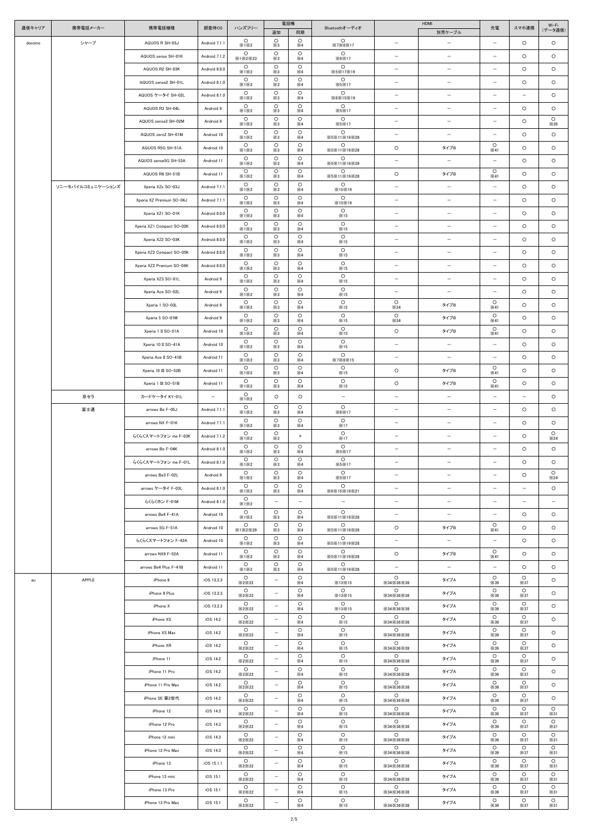| 通信キャリア | 携帯電話メーカー          | 携帯電話機種                    | 調査時OS         | ハンズフリー                            |                          | 電話帳                                 | Bluetoothオーディオ                    |                                                | HDMI                     | 充電                       | スマホ連携                    | Wi-Fi                  |
|--------|-------------------|---------------------------|---------------|-----------------------------------|--------------------------|-------------------------------------|-----------------------------------|------------------------------------------------|--------------------------|--------------------------|--------------------------|------------------------|
|        |                   |                           |               | $\circ$                           | 追加<br>$\circ$            | 同期<br>$\circ$                       | $\circ$                           |                                                | 別売ケーブル                   |                          |                          | (データ通信)                |
| docomo | シャープ              | AQUOS R SH-03J            | Android 7.1.1 | X1X2<br>$\circ$                   | $\times 3$<br>$\circ$    | $\times 4$<br>$\circ$               | X7X8X17<br>$\circ$                | $\qquad \qquad -$                              | $\overline{\phantom{m}}$ | $\qquad \qquad -$        | $\circ$                  | $\circ$                |
|        |                   | AQUOS sense SH-01K        | Android 7.1.2 | X1X2X23<br>$\circ$                | $\times 3$<br>$\circ$    | $\times 4$<br>$\circ$               | $\times 6\times 17$<br>$\circ$    | $\overline{\phantom{0}}$                       | $\overline{\phantom{m}}$ | $\overline{\phantom{0}}$ | $\circ$                  | $\circ$                |
|        |                   | AQUOS R2 SH-03K           | Android 8.0.0 | X1X2                              | $\times3$                | $\times 4$                          | X5X17X19<br>$\circ$               | $\overline{\phantom{m}}$                       | $\overline{\phantom{m}}$ | $\qquad \qquad -$        | $\circ$                  | $\circ$                |
|        |                   | AQUOS sense2 SH-01L       | Android 8.1.0 | $\circ$<br>X1X2                   | $\circ$<br>$\times 3$    | $\circ$<br>$\times 4$               | $\times$ 5 $\times$ 17            | $\overline{\phantom{m}}$                       | $\overline{\phantom{m}}$ | $-$                      | $\circ$                  | $\circ$                |
|        |                   | AQUOS ケータイ SH-02L         | Android 8.1.0 | $\circ$<br>X1X2                   | $\circ$<br>$\times3$     | $\circ$<br>$\times 4$               | $\circ$<br>×6×15×19               | $\overline{\phantom{m}}$                       | $\overline{\phantom{m}}$ | $\qquad \qquad -$        | $\qquad \qquad -$        | $\circ$                |
|        |                   | AQUOS R3 SH-04L           | Android 9     | $\circ$<br>X1X2                   | $\circ$<br>$\times3$     | $\circ$<br>$\times 4$               | $\circ$<br>$\times$ 5 $\times$ 17 | $\overline{\phantom{m}}$                       | $\overline{\phantom{m}}$ | $-$                      | $\circ$                  | $\circ$                |
|        |                   | AQUOS sense3 SH-02M       | Android 9     | $\circ$<br>X1X2                   | $\circ$<br>$\times 3$    | $\circ$<br>$\times 4$               | $\circ$<br>×5×17                  | $\overline{\phantom{m}}$                       | $\overline{\phantom{m}}$ | $\qquad \qquad -$        | $\circ$                  | $\circ$<br>$\times 26$ |
|        |                   | AQUOS zero2 SH-01M        | Android 10    | $\circ$<br>X1X2                   | $\circ$<br>$\times3$     | $\circ$<br>$\times 4$               | $\circ$<br>X5X11X19X28            | $\qquad \qquad -$                              | $\overline{\phantom{m}}$ | $\overline{\phantom{0}}$ | $\circ$                  | $\circ$                |
|        |                   | AQUOS R5G SH-51A          | Android 10    | $\circ$<br>X1X2                   | $\circ$<br>$\times 3$    | $\circ$<br>$\times 4$               | $\circ$<br>X5X11X19X28            | $\circ$                                        | タイプB                     | $\circ$<br>$\times 41$   | $\circ$                  | $\circ$                |
|        |                   | AQUOS sense5G SH-53A      | Android 11    | $\circ$<br>X1X2                   | $\circ$<br>$\times 3$    | $\circ$<br>$\times 4$               | $\circ$<br>X5X11X19X28            | $\overline{\phantom{m}}$                       | $-$                      | $-$                      | $\circ$                  | $\circ$                |
|        |                   | AQUOS R6 SH-51B           | Android 11    | $\circ$<br>X1X2                   | $\circ$<br>$\times 3$    | $\circ$<br>$\times 4$               | $\circ$<br>X5X11X19X28            | $\circ$                                        | タイプB                     | $\circ$<br>×41           | $\circ$                  | $\circ$                |
|        | ソニーモバイルコミュニケーションズ | Xperia XZs SO-03J         | Android 7.1.1 | $\circ$<br>X1X2                   | $\circ$<br>$\times 3$    | $\circ$<br>$\times 4$               | $\circ$<br>×15×19                 | $\overline{\phantom{m}}$                       | $\overline{\phantom{m}}$ | $-$                      | $\circ$                  | $\circ$                |
|        |                   | Xperia XZ Premium SO-04J  | Android 7.1.1 | $\circ$<br>X1X2                   | $\circ$<br>$\times3$     | $\circ$<br>$\times 4$               | $\circ$<br>×15×19                 | $\overline{\phantom{m}}$                       | $\qquad \qquad -$        | $-$                      | $\circ$                  | $\circ$                |
|        |                   | Xperia XZ1 SO-01K         | Android 8.0.0 | $\circ$<br>X1X2                   | $\circ$<br>$\times3$     | $\circ$<br>$\times 4$               | $\circ$<br>×15                    | $\overline{\phantom{m}}$                       | $\overline{\phantom{m}}$ | $\overline{\phantom{0}}$ | $\circ$                  | $\circ$                |
|        |                   | Xperia XZ1 Compact SO-02K | Android 8.0.0 | $\circ$<br>X1X2                   | $\circ$<br>$\times 3$    | $\circ$<br>$\times 4$               | $\circ$<br>×15                    | $\qquad \qquad -$                              | $\overline{\phantom{m}}$ | $\qquad \qquad -$        | $\circ$                  | $\circ$                |
|        |                   | Xperia XZ2 SO-03K         | Android 8.0.0 | $\circ$<br>X1X2                   | $\circ$<br>$\times3$     | $\circ$<br>$\times 4$               | $\circ$<br>×15                    | $\overline{\phantom{m}}$                       | $\overline{\phantom{m}}$ | $\qquad \qquad -$        | $\circ$                  | $\circ$                |
|        |                   | Xperia XZ2 Compact SO-05K | Android 8.0.0 | $\circ$<br>X1X2                   | $\circ$<br>$\times 3$    | $\circ$<br>$\times 4$               | $\circ$<br>×15                    | $\overline{\phantom{0}}$                       | $\qquad \qquad -$        | $\overline{\phantom{0}}$ | $\circ$                  | $\circ$                |
|        |                   | Xperia XZ2 Premium SO-04K | Android 8.0.0 | $\circ$<br>X1X2                   | $\circ$<br>$\times 3$    | $\circ$<br>$\times 4$               | $\circ$<br>×15                    | $\overline{\phantom{m}}$                       | $\qquad \qquad -$        | $\qquad \qquad -$        | $\circ$                  | $\circ$                |
|        |                   | Xperia XZ3 SO-01L         | Android 9     | $\circ$<br>X1X2                   | $\circ$<br>$\times 3$    | $\circ$<br>$\times 4$               | $\circ$<br>×15                    | $\overline{\phantom{0}}$                       | $\qquad \qquad -$        | $\overline{\phantom{0}}$ | $\circ$                  | $\circ$                |
|        |                   | Xperia Ace SO-02L         | Android 9     | $\circ$<br>X1X2                   | $\circ$<br>$\times 3$    | $\circ$<br>$\times 4$               | $\circ$<br>×15                    | $\overline{\phantom{a}}$                       | $\overline{\phantom{m}}$ | $\overline{\phantom{0}}$ | $\circ$                  | $\circ$                |
|        |                   | Xperia 1 SO-03L           | Android 9     | $\circ$<br>X1X2                   | $\circ$<br>$\times 3$    | $\circ$<br>$\times 4$               | $\circ$<br>×15                    | $\circ$<br>$\times$ 34                         | タイプB                     | $\circ$<br>×41           | $\circ$                  | $\circ$                |
|        |                   | Xperia 5 SO-01M           | Android 9     | $\circ$<br>X1X2                   | $\circ$<br>$\times3$     | $\circ$<br>$\times 4$               | $\circ$<br>×15                    | $\circ$<br>×34                                 | タイプB                     | $\circ$<br>$\times 41$   | $\circ$                  | $\circ$                |
|        |                   | Xperia 1 II SO-51A        | Android 10    | $\circ$<br>×1×2                   | $\circ$<br>$\times3$     | $\circ$<br>$\times 4$               | $\circ$<br>×15                    | $\circ$                                        | タイプB                     | $\circ$<br>$\times 41$   | $\circ$                  | $\circ$                |
|        |                   | Xperia 10 II SO-41A       | Android 10    | $\circ$<br>X1X2                   | $\circ$<br>$\times 3$    | $\circ$<br>$\times 4$               | $\circ$<br>×15                    | $\qquad \qquad -$                              | $ \,$                    | $\qquad \qquad -$        | $\circ$                  | $\circ$                |
|        |                   | Xperia Ace II SO-41B      | Android 11    | $\circ$<br>X1X2                   | $\circ$<br>$\times3$     | $\circ$<br>$\times 4$               | $\circ$<br>X7X8X15                | $\qquad \qquad -$                              | $\overline{\phantom{a}}$ | $\qquad \qquad -$        | $\circ$                  | $\circ$                |
|        |                   | Xperia 10 III SO-52B      | Android 11    | $\circ$<br>X1X2                   | $\circ$<br>$\times 3$    | $\circ$<br>$\times 4$               | $\circ$<br>×15                    | $\circ$                                        | タイプB                     | $\circ$<br>×41           | $\circ$                  | $\circ$                |
|        |                   | Xperia 1 III SO-51B       | Android 11    | $\circ$<br>X1X2                   | $\circ$<br>$\times 3$    | $\circ$<br>$\times 4$               | $\circ$<br>×15                    | $\circ$                                        | タイプB                     | $\circ$<br>×41           | $\circ$                  | $\circ$                |
|        | 京セラ               | カードケータイ KY-01L            | $ \,$         | $\circ$<br>X1X2                   | $\circ$                  | $\circ$                             | $-$                               | $\overline{\phantom{m}}$                       | $ \,$                    | $-$                      | $ \,$                    | $\circ$                |
|        | 富士通               | arrows Be F-05J           | Android 7.1.1 | $\circ$                           | $\circ$                  | $\circ$                             | $\circ$                           | $\overline{\phantom{a}}$                       | $\overline{\phantom{a}}$ | $-$                      | $\circ$                  | $\circ$                |
|        |                   | arrows NX F-01K           | Android 7.1.1 | X1X2<br>$\circ$                   | $\times 3$<br>$\circ$    | $\times 4$<br>$\circ$               | $\times 6\times 17$<br>$\circ$    | $\overline{\phantom{a}}$                       | $\qquad \qquad -$        | $-$                      | $\circ$                  | $\circ$                |
|        |                   | らくらくスマートフォン me F-03K      | Android 7.1.2 | X1X2<br>$\circ$                   | $\times 3$<br>$\circ$    | $\times 4$<br>$\times$              | ×17<br>$\circ$                    | $\overline{\phantom{a}}$                       | $\overline{\phantom{m}}$ | $-$                      | $\circ$                  | $\circ$                |
|        |                   | arrows Be F-04K           | Android 8.1.0 | X1X2<br>$\circ$                   | $\times 3$<br>$\circ$    | $\circ$                             | ×17<br>$\circ$                    | -                                              | $\overline{\phantom{m}}$ | $\qquad \qquad -$        | $\circ$                  | $\times 24$<br>$\circ$ |
|        |                   | らくらくスマートフォン me F-01L      | Android 8.1.0 | X1X2<br>$\circ$                   | $\times$ 3<br>$\circ$    | $\times 4$<br>$\circ$               | <b>X5X17</b><br>$\circ$           | $\overline{\phantom{a}}$                       | $\overline{\phantom{m}}$ | $-$                      | $\circ$                  | $\circ$                |
|        |                   | arrows Be3 F-02L          | Android 9     | ×1×2<br>$\circ$                   | $\times 3$<br>$\circ$    | $\times 4$<br>$\circ$               | $\times$ 5 $\times$ 17<br>$\circ$ | $\qquad \qquad -$                              | $\overline{\phantom{m}}$ | $\qquad \qquad -$        | $\circ$                  | $\circ$                |
|        |                   | arrows ケータイ F-03L         | Android 8.1.0 | X1X2<br>$\circ$                   | $\times 3$<br>$\circ$    | $\times 4$<br>$\circ$               | $\times$ 5 $\times$ 17<br>$\circ$ | $\qquad \qquad -$                              | $\overline{\phantom{m}}$ | $\overline{\phantom{0}}$ | $\overline{\phantom{0}}$ | $\times 24$<br>$\circ$ |
|        |                   |                           |               | X1X2<br>$\circ$                   | $\times 3$               | $\times 4$                          | X6X15X19X21                       |                                                |                          |                          | $\qquad \qquad -$        | $\qquad \qquad -$      |
|        |                   | らくらくホン F-01M              | Android 8.1.0 | X1X2<br>$\circ$                   | $-$<br>$\circ$           | $\overline{\phantom{m}}$<br>$\circ$ | $\qquad \qquad -$<br>$\circ$      | $\qquad \qquad -$                              | $\qquad \qquad -$        | $\qquad \qquad -$        |                          |                        |
|        |                   | arrows Be4 F-41A          | Android 10    | ×1×2<br>$\circ$                   | $\times3$<br>$\circ$     | $\times 4$<br>$\circ$               | X5X11X19X28<br>$\circ$            | $\overline{\phantom{a}}$                       | $ \,$                    | $-$<br>$\circ$           | $\circ$                  | $\circ$                |
|        |                   | arrows 5G F-51A           | Android 10    | X1X2X29<br>$\circ$                | $\times 3$<br>$\circ$    | $\times 4$<br>$\circ$               | X5X11X19X28<br>$\circ$            | $\circ$                                        | タイプB                     | $\times 41$              | $\circ$                  | $\circ$                |
|        |                   | らくらくスマートフォン F-42A         | Android 10    | X1X2<br>$\circ$                   | $\times3$<br>$\circ$     | $\times 4$<br>$\circ$               | X5X11X19X28<br>$\circ$            | $\overline{\phantom{a}}$                       | $\overline{\phantom{a}}$ | $-$<br>$\circ$           | $\circ$                  | $\circ$                |
|        |                   | arrows NX9 F-52A          | Android 11    | X1X2<br>$\circ$                   | $\times 3$<br>$\circ$    | $\times 4$<br>$\circ$               | X5X11X19X28<br>$\circ$            | $\circ$                                        | タイプB                     | ×41                      | $\circ$                  | $\circ$                |
|        |                   | arrows Be4 Plus F-41B     | Android 11    | X1X2<br>$\circ$                   | $\times3$                | $\times 4$<br>$\circ$               | X5X11X19X28<br>$\circ$            | $\overline{\phantom{m}}$<br>$\circ$            | $\overline{\phantom{a}}$ | $-$<br>$\circ$           | $\circ$<br>$\circ$       | $\circ$                |
| au     | APPLE             | iPhone 8                  | iOS 13.2.3    | X2X22<br>$\circ$                  | $-$                      | $\times 4$<br>$\circ$               | ×13×15<br>$\circ$                 | $\times$ 34 $\times$ 36 $\times$ 38<br>$\circ$ | タイプA                     | $\times$ 39<br>$\circ$   | $\times$ 37<br>$\circ$   | $\circ$                |
|        |                   | iPhone 8 Plus             | iOS 13.2.3    | X2X22<br>$\circ$                  | $\overline{\phantom{a}}$ | $\times 4$<br>$\circ$               | ×13×15<br>$\circ$                 | X34X36X38<br>$\circ$                           | タイプA                     | $\times$ 39<br>$\circ$   | $\times$ 37<br>$\circ$   | $\circ$                |
|        |                   | iPhone X                  | iOS 13.2.3    | X2X22<br>$\circ$                  | $-$                      | $\times 4$<br>$\circ$               | ×13×15<br>$\circ$                 | X34X36X38                                      | タイプA                     | $\times$ 39<br>$\circ$   | $\times$ 37<br>$\circ$   | $\circ$                |
|        |                   | iPhone XS                 | iOS 14.2      | X2X22                             | $-$                      | $\times 4$                          | ×15                               | $\circ$<br>$\times$ 34 $\times$ 36 $\times$ 38 | タイプA                     | $\times$ 39              | $\times$ 37              | $\circ$                |
|        |                   | iPhone XS Max             | iOS 14.2      | $\circ$<br>$\times$ 2 $\times$ 22 | $\qquad \qquad -$        | $\circ$<br>$\times 4$               | $\circ$<br>×15                    | $\circ$<br>$\times$ 34 $\times$ 36 $\times$ 38 | タイプA                     | $\circ$<br>$\times$ 39   | $\circ$<br>×37           | $\circ$                |
|        |                   | iPhone XR                 | iOS 14.2      | $\circ$<br>X2X22                  |                          | $\circ$<br>$\times 4$               | $\circ$<br>×15                    | $\circ$<br>$\times$ 34 $\times$ 36 $\times$ 38 | タイプA                     | $\circ$<br>$\times$ 39   | $\circ$<br>$\times$ 37   | $\cap$                 |
|        |                   | iPhone 11                 | iOS 14.2      | $\circ$<br>X2X22                  | $-$                      | $\circ$<br>$\times 4$               | $\circ$<br>×15                    | $\circ$<br>$\times$ 34 $\times$ 36 $\times$ 38 | タイプA                     | $\circ$<br>$\times$ 39   | $\circ$<br>$\times$ 37   | $\circ$                |
|        |                   | iPhone 11 Pro             | iOS 14.2      | $\circ$<br>X2X22                  | $\qquad \qquad -$        | $\circ$<br>$\times 4$               | $\circ$<br>×15                    | $\circ$<br>$\times$ 34 $\times$ 36 $\times$ 38 | タイプA                     | $\circ$<br>$\times$ 39   | $\circ$<br>$\times$ 37   | $\circ$                |
|        |                   | iPhone 11 Pro Max         | iOS 14.2      | $\circ$<br>$\times$ 2 $\times$ 22 | $-$                      | $\circ$<br>$\times 4$               | $\circ$<br>×15                    | $\circ$<br>$\times$ 34 $\times$ 36 $\times$ 38 | タイプA                     | $\circ$<br>$\times$ 39   | $\circ$<br>$\times$ 37   | $\circ$                |
|        |                   | iPhone SE 第2世代            | iOS 14.2      | $\circ$<br>X2X22                  | $\overline{\phantom{a}}$ | $\circ$<br>$\times 4$               | $\circ$<br>×15                    | $\circ$<br>$\times$ 34 $\times$ 36 $\times$ 38 | タイプA                     | $\circ$<br>$\times$ 39   | $\circ$<br>$\times$ 37   | $\circ$                |
|        |                   | iPhone 12                 | iOS 14.3      | $\circ$<br>$\times$ 2 $\times$ 22 | $-$                      | $\circ$<br>$\times 4$               | $\circ$<br>×15                    | $\circ$<br>$\times$ 34 $\times$ 36 $\times$ 38 | タイプA                     | $\circ$<br>$\times$ 39   | $\circ$<br>$\times$ 37   | $\circ$<br>$\times$ 31 |
|        |                   | iPhone 12 Pro             | iOS 14.3      | $\circ$<br>X2X22                  | $-$                      | $\circ$<br>$\times 4$               | $\circ$<br>×15                    | $\circ$<br>$\times$ 34 $\times$ 36 $\times$ 38 | タイプA                     | $\circ$<br>$\times$ 39   | $\circ$<br>$\times$ 37   | $\circ$<br>$\times$ 31 |
|        |                   | iPhone 12 mini            | iOS 14.3      | $\circ$<br>$\times$ 2 $\times$ 22 | $-$                      | $\circ$<br>$\times 4$               | $\circ$<br>×15                    | $\circ$<br>$\times$ 34 $\times$ 36 $\times$ 38 | タイプA                     | $\circ$<br>$\times$ 39   | $\circ$<br>$\times$ 37   | $\circ$<br>$\times$ 31 |
|        |                   | iPhone 12 Pro Max         | iOS 14.3      | $\circ$<br>X2X22                  | $-$                      | $\circ$<br>$\times 4$               | $\circ$<br>×15                    | $\circ$<br>$\times$ 34 $\times$ 36 $\times$ 38 | タイプA                     | $\circ$<br>$\times$ 39   | $\circ$<br>$\times$ 37   | $\circ$<br>$\times$ 31 |
|        |                   | iPhone 13                 | iOS 15.1.1    | $\circ$<br>X2X22                  | $-$                      | $\circ$<br>$\times 4$               | $\circ$<br>×15                    | $\circ$<br>$\times$ 34 $\times$ 36 $\times$ 38 | タイプA                     | $\circ$<br>$\times$ 39   | $\circ$<br>$\times$ 37   | $\circ$<br>$\times$ 31 |
|        |                   | iPhone 13 mini            | iOS 15.1      | $\circ$<br>X2X22                  | $-$                      | $\circ$<br>$\times 4$               | $\circ$<br>×15                    | $\circ$<br>$\times$ 34 $\times$ 36 $\times$ 38 | タイプA                     | $\circ$<br>$\times$ 39   | $\circ$<br>$\times$ 37   | $\circ$<br>$\times$ 31 |
|        |                   | iPhone 13 Pro             | iOS 15.1      | $\circ$<br>$\times$ 2 $\times$ 22 | $-$                      | $\circ$<br>$\times 4$               | $\circ$<br>×15                    | $\circ$<br>$\times$ 34 $\times$ 36 $\times$ 38 | タイプA                     | $\circ$<br>$\times$ 39   | $\circ$<br>$\times$ 37   | $\circ$<br>$\times$ 31 |
|        |                   | iPhone 13 Pro Max         | iOS 15.1      | $\circ$<br>X2X22                  | $\qquad \qquad -$        | $\circ$<br>$\times 4$               | $\circ$<br>×15                    | $\circ$<br>×34×36×38                           | タイプA                     | $\circ$<br>$\times$ 39   | $\circ$<br>$\times$ 37   | $\circ$<br>$\times$ 31 |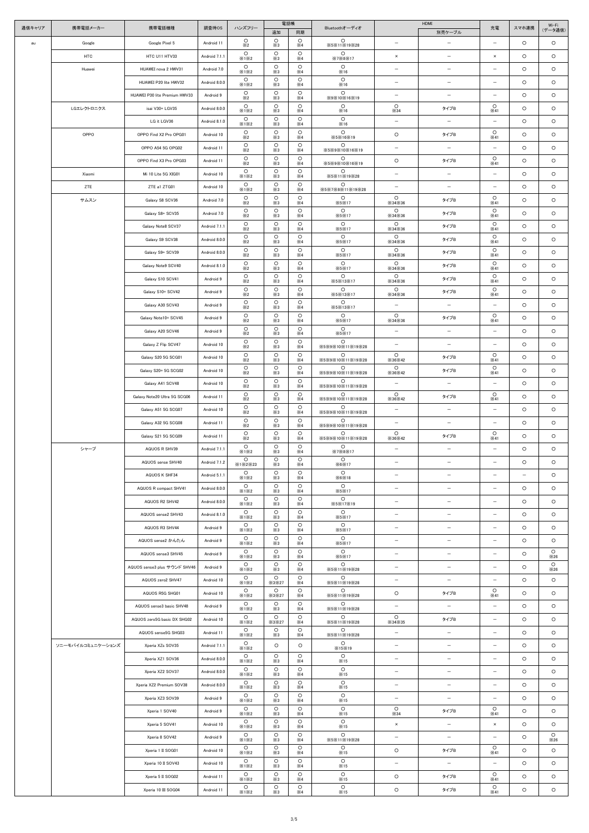| 通信キャリア | 携帯電話メーカー          | 携帯電話機種                        | 調査時OS         | ハンズフリー                | 電話帳                   |                       | Bluetoothオーディオ              |                                     | HDMI                               | 充電                                  | スマホ連携                    | Wi-Fi<br>(データ通信)       |
|--------|-------------------|-------------------------------|---------------|-----------------------|-----------------------|-----------------------|-----------------------------|-------------------------------------|------------------------------------|-------------------------------------|--------------------------|------------------------|
|        | Google            | Google Pixel 5                | Android 11    | $\circ$               | 追加<br>$\circ$         | 同期<br>$\circ$         | $\circ$                     | $\overline{\phantom{m}}$            | 別売ケーブル<br>$\overline{\phantom{m}}$ | $\overline{\phantom{m}}$            | $\circ$                  | $\circ$                |
| au     |                   |                               |               | $\times 2$<br>$\circ$ | $\times3$<br>$\circ$  | $\times 4$<br>$\circ$ | X5X11X19X28<br>$\circ$      | $\pmb{\times}$                      | $\overline{\phantom{m}}$           |                                     | $\circ$                  | $\circ$                |
|        | <b>HTC</b>        | HTC U11 HTV33                 | Android 7.1.1 | X1X2<br>$\circ$       | $\times 3$<br>$\circ$ | $\times 4$<br>$\circ$ | X7X8X17<br>$\circ$          |                                     |                                    | $\times$                            |                          |                        |
|        | Huawei            | HUAWEI nova 2 HWV31           | Android 7.0   | ×1×2<br>$\circ$       | $\times3$<br>$\circ$  | $\times 4$<br>$\circ$ | ×16<br>$\circ$              | $\qquad \qquad -$                   | $\qquad \qquad -$                  | $\overline{\phantom{m}}$            | $\circ$                  | $\circ$                |
|        |                   | HUAWEI P20 lite HWV32         | Android 8.0.0 | ×1×2<br>$\circ$       | $\times 3$<br>$\circ$ | $\times 4$<br>$\circ$ | ×16<br>$\circ$              | $\overline{\phantom{m}}$            | $\overline{\phantom{m}}$           | $\overline{\phantom{m}}$            | $\circ$                  | $\circ$                |
|        |                   | HUAWEI P30 lite Premium HWV33 | Android 9     | $\times 2$<br>$\circ$ | $\times 3$<br>$\circ$ | $\times 4$<br>$\circ$ | X9X10X16X19<br>$\circ$      | $\overline{\phantom{m}}$<br>$\circ$ | $\overline{\phantom{m}}$           | $\overline{\phantom{m}}$<br>$\circ$ | $\circ$                  | $\circ$                |
|        | LGエレクトロニクス        | isai V30+ LGV35               | Android 8.0.0 | X1X2<br>$\circ$       | $\times 3$<br>$\circ$ | $\times 4$<br>$\circ$ | X16<br>$\circ$              | ×34                                 | タイプB                               | ×41                                 | $\circ$                  | $\circ$                |
|        |                   | LG it LGV36                   | Android 8.1.0 | ×1×2<br>$\circ$       | $\times 3$<br>$\circ$ | $\times 4$<br>$\circ$ | ×16<br>$\circ$              | $\overline{\phantom{m}}$            | $\overline{\phantom{m}}$           | $\overline{\phantom{m}}$<br>$\circ$ | $\circ$                  | $\circ$                |
|        | OPPO              | OPPO Find X2 Pro OPG01        | Android 10    | $\times 2$<br>$\circ$ | $\times3$<br>$\circ$  | $\times 4$<br>$\circ$ | <b>※5※16※19</b><br>$\circ$  | $\circ$                             | タイプB                               | ×41                                 | $\circ$                  | $\circ$                |
|        |                   | OPPO A54 5G OPG02             | Android 11    | $\times 2$<br>$\circ$ | $\times 3$<br>$\circ$ | $\times 4$<br>$\circ$ | X5X9X10X16X19<br>$\circ$    | $\overline{\phantom{m}}$            | $\overline{\phantom{m}}$           | $\overline{\phantom{m}}$<br>$\circ$ | $\circ$                  | $\circ$                |
|        |                   | OPPO Find X3 Pro OPG03        | Android 11    | $\times 2$<br>$\circ$ | $\times3$<br>$\circ$  | $\times 4$<br>$\circ$ | X5X9X10X16X19<br>$\circ$    | $\circ$                             | タイプB                               | ×41                                 | $\circ$                  | $\circ$                |
|        | Xiaomi            | Mi 10 Lite 5G XIG01           | Android 10    | X1X2<br>$\circ$       | $\times 3$<br>$\circ$ | $\times 4$<br>$\circ$ | X5X11X19X28<br>$\circ$      | $\overline{\phantom{m}}$            | $-$                                | $\overline{\phantom{m}}$            | $\circ$                  | $\circ$                |
|        | ZTE               | ZTE a1 ZTG01                  | Android 10    | X1X2<br>$\circ$       | $\times3$<br>$\circ$  | $\times 4$<br>$\circ$ | ※5※7※8※11※19※28<br>$\circ$  | $\overline{\phantom{m}}$<br>$\circ$ | $\overline{\phantom{m}}$           | $\overline{\phantom{a}}$<br>$\circ$ | $\circ$                  | $\circ$                |
|        | サムスン              | Galaxy S8 SCV36               | Android 7.0   | $\times 2$<br>$\circ$ | $\times 3$<br>$\circ$ | $\times 4$<br>$\circ$ | <b>X5X17</b><br>$\circ$     | $\times$ 34 $\times$ 36<br>$\circ$  | タイプB                               | ×41<br>$\circ$                      | $\circ$                  | $\circ$                |
|        |                   | Galaxy S8+ SCV35              | Android 7.0   | $\times 2$<br>$\circ$ | $\times 3$<br>$\circ$ | $\times 4$<br>$\circ$ | <b>X5X17</b><br>$\circ$     | $\times 34\times 36$<br>$\circ$     | タイプB                               | ×41<br>$\circ$                      | $\circ$                  | $\circ$                |
|        |                   | Galaxy Note8 SCV37            | Android 7.1.1 | $\times 2$<br>$\circ$ | $\times3$<br>$\circ$  | $\times 4$<br>$\circ$ | X5X17<br>$\circ$            | $\times$ 34 $\times$ 36<br>$\circ$  | タイプB                               | ×41<br>$\circ$                      | $\circ$                  | $\circ$                |
|        |                   | Galaxy S9 SCV38               | Android 8.0.0 | $\times 2$<br>$\circ$ | $\times3$<br>$\circ$  | $\times 4$<br>$\circ$ | X5X17<br>$\circ$            | $\times$ 34 $\times$ 36<br>$\circ$  | タイプB                               | ×41<br>$\circ$                      | $\circ$                  | $\circ$                |
|        |                   | Galaxy S9+ SCV39              | Android 8.0.0 | $\times 2$<br>$\circ$ | $\times 3$<br>$\circ$ | $\times 4$<br>$\circ$ | X5X17<br>$\circ$            | $\times$ 34 $\times$ 36<br>$\circ$  | タイプB                               | ×41<br>$\circ$                      | $\circ$                  | $\circ$                |
|        |                   | Galaxy Note9 SCV40            | Android 8.1.0 | $\times 2$<br>$\circ$ | $\times 3$<br>$\circ$ | $\times 4$<br>$\circ$ | X5X17<br>$\circ$            | $\times$ 34 $\times$ 36<br>$\circ$  | タイプB                               | ×41<br>$\circ$                      | $\circ$                  | $\circ$                |
|        |                   | Galaxy S10 SCV41              | Android 9     | $\times 2$            | $\times 3$            | $\times 4$            | <b>※5※13※17</b><br>$\circ$  | $\times$ 34 $\times$ 36<br>$\circ$  | タイプB                               | ×41                                 | $\circ$                  | $\circ$                |
|        |                   | Galaxy S10+ SCV42             | Android 9     | $\circ$<br>$\times 2$ | $\circ$<br>$\times3$  | $\circ$<br>$\times 4$ | X5X13X17                    | $\times$ 34 $\times$ 36             | タイプB                               | $\circ$<br>×41                      | $\circ$                  | $\circ$                |
|        |                   | Galaxy A30 SCV43              | Android 9     | $\circ$<br>$\times 2$ | $\circ$<br>$\times 3$ | $\circ$<br>$\times 4$ | $\circ$<br>X5X13X17         | $\overline{\phantom{m}}$            | $\overline{\phantom{m}}$           | $\overline{\phantom{a}}$            | $\circ$                  | $\circ$                |
|        |                   | Galaxy Note10+ SCV45          | Android 9     | $\circ$<br>$\times 2$ | $\circ$<br>$\times 3$ | $\circ$<br>$\times 4$ | $\circ$<br><b>X5X17</b>     | $\circ$<br>$\times$ 34 $\times$ 36  | タイプB                               | $\circ$<br>×41                      | $\circ$                  | $\circ$                |
|        |                   | Galaxy A20 SCV46              | Android 9     | $\circ$<br>$\times 2$ | $\circ$<br>$\times3$  | $\circ$<br>$\times 4$ | $\circ$<br><b>X5X17</b>     |                                     |                                    |                                     | $\circ$                  | $\circ$                |
|        |                   | Galaxy Z Flip SCV47           | Android 10    | $\circ$<br>$\times 2$ | $\circ$<br>$\times3$  | $\circ$<br>$\times 4$ | O<br>※5※9※10※11※19※28       | $\overline{\phantom{m}}$            | $\qquad \qquad -$                  | $\overline{\phantom{m}}$            | $\circ$                  | $\circ$                |
|        |                   | Galaxy S20 5G SCG01           | Android 10    | $\circ$<br>$\times 2$ | $\circ$<br>$\times 3$ | $\circ$<br>$\times 4$ | O<br>※5※9※10※11※19※28       | $\circ$<br>$\times 36\times 42$     | タイプB                               | $\circ$<br>×41                      | $\circ$                  | $\circ$                |
|        |                   | Galaxy S20+ 5G SCG02          | Android 10    | $\circ$<br>$\times 2$ | $\circ$<br>$\times 3$ | $\circ$<br>$\times 4$ | $\circ$<br>X5X9X10X11X19X28 | $\circ$<br>$\times 36\times 42$     | タイプB                               | $\circ$<br>×41                      | $\circ$                  | $\circ$                |
|        |                   | Galaxy A41 SCV48              | Android 10    | $\circ$<br>$\times 2$ | $\circ$<br>$\times 3$ | $\circ$<br>$\times 4$ | $\circ$<br>※5※9※10※11※19※28 | $\qquad \qquad -$                   | $\overline{\phantom{m}}$           | $\overline{\phantom{m}}$            | $\circ$                  | $\circ$                |
|        |                   | Galaxy Note20 Ultra 5G SCG06  | Android 11    | $\circ$<br>$\times 2$ | $\circ$<br>$\times 3$ | $\circ$<br>$\times 4$ | $\circ$<br>※5※9※10※11※19※28 | $\circ$<br>$\times 36\times 42$     | タイプB                               | $\circ$<br>×41                      | $\circ$                  | $\circ$                |
|        |                   | Galaxy A51 5G SCG07           | Android 10    | $\circ$<br>$\times 2$ | $\circ$<br>$\times 3$ | $\circ$<br>$\times 4$ | $\circ$<br>※5※9※10※11※19※28 | $\overline{\phantom{m}}$            | $\overline{\phantom{m}}$           | $\overline{\phantom{m}}$            | $\circ$                  | $\circ$                |
|        |                   | Galaxy A32 5G SCG08           | Android 11    | $\circ$<br>$\times 2$ | $\circ$<br>$\times 3$ | $\circ$<br>$\times 4$ | $\circ$<br>X5X9X10X11X19X28 | $\overline{\phantom{m}}$            | $\overline{\phantom{m}}$           | $\overline{\phantom{m}}$            | $\circ$                  | $\circ$                |
|        |                   | Galaxy S21 5G SCG09           | Android 11    | $\circ$<br>$\times 2$ | $\circ$<br>$\times 3$ | $\circ$<br>$\times 4$ | $\circ$<br>※5※9※10※11※19※28 | $\circ$<br>X36X42                   | タイプB                               | $\circ$<br>×41                      | $\circ$                  | $\circ$                |
|        | シャープ              | AQUOS R SHV39                 | Android 7.1.1 | $\circ$<br>×1×2       | $\circ$<br>$\times3$  | $\circ$<br>$\times 4$ | $\circ$<br>X7X8X17          | $\overline{\phantom{m}}$            | $\overline{\phantom{0}}$           | $\overline{\phantom{0}}$            | $\circ$                  | $\circ$                |
|        |                   | AQUOS sense SHV40             | Android 7.1.2 | $\circ$<br>X1X2X23    | $\circ$<br>$\times 3$ | $\circ$<br>$\times 4$ | $\circ$<br>×6×17            | $\overline{\phantom{m}}$            | $\overline{\phantom{m}}$           | $\overline{\phantom{m}}$            | $\circ$                  | $\circ$                |
|        |                   | AQUOS K SHF34                 | Android 5.1.1 | $\circ$<br>×1×2       | $\circ$<br>$\times 3$ | $\circ$<br>$\times 4$ | $\circ$<br>×6×18            | $\overline{\phantom{m}}$            | $\overline{\phantom{m}}$           | $\overline{\phantom{m}}$            | $\overline{\phantom{m}}$ | $\circ$                |
|        |                   | AQUOS R compact SHV41         | Android 8.0.0 | $\circ$<br>X1X2       | $\circ$<br>$\times 3$ | $\circ$<br>$\times 4$ | $\circ$<br>X5X17            | $\qquad \qquad -$                   | $\qquad \qquad -$                  | $\overline{\phantom{m}}$            | $\circ$                  | $\circ$                |
|        |                   | AQUOS R2 SHV42                | Android 8.0.0 | $\circ$<br>×1×2       | $\circ$<br>$\times 3$ | $\circ$<br>$\times 4$ | $\circ$<br>X5X17X19         | $\overline{\phantom{m}}$            | $\overline{\phantom{m}}$           | $\overline{\phantom{m}}$            | $\circ$                  | $\circ$                |
|        |                   | AQUOS sense2 SHV43            | Android 8.1.0 | $\circ$<br>X1X2       | $\circ$<br>$\times 3$ | $\circ$<br>$\times 4$ | $\circ$<br>X5X17            | $\overline{\phantom{m}}$            | $-$                                | $\overline{\phantom{m}}$            | $\circ$                  | $\circ$                |
|        |                   | AQUOS R3 SHV44                | Android 9     | $\circ$<br>×1×2       | $\circ$<br>$\times 3$ | $\circ$<br>$\times 4$ | $\circ$<br><b>X5X17</b>     | $\qquad \qquad -$                   | $\overline{\phantom{m}}$           | $\overline{\phantom{m}}$            | $\circ$                  | $\circ$                |
|        |                   | AQUOS sense2 かんたん             | Android 9     | $\circ$<br>×1×2       | $\circ$<br>$\times 3$ | $\circ$<br>$\times 4$ | $\circ$<br><b>X5X17</b>     | $\overline{\phantom{m}}$            | $-$                                | $\overline{\phantom{m}}$            | $\circ$                  | $\circ$                |
|        |                   | AQUOS sense3 SHV45            | Android 9     | $\circ$<br>×1×2       | $\circ$<br>$\times 3$ | $\circ$<br>$\times 4$ | $\circ$<br><b>X5X17</b>     | $\overline{\phantom{0}}$            | $\qquad \qquad -$                  | $\overline{\phantom{m}}$            | $\circ$                  | $\circ$<br>$\times 26$ |
|        |                   | AQUOS sense3 plus サウンド SHV46  | Android 9     | $\circ$<br>X1X2       | $\circ$<br>$\times 3$ | $\circ$<br>$\times 4$ | $\circ$<br>X5X11X19X28      | $\qquad \qquad -$                   | $\overline{\phantom{m}}$           | $\overline{\phantom{m}}$            | $\circ$                  | $\circ$<br>$\times 26$ |
|        |                   | AQUOS zero2 SHV47             | Android 10    | $\circ$<br>×1×2       | $\circ$<br>X3X27      | $\circ$<br>$\times 4$ | $\circ$<br>X5X11X19X28      | $\overline{\phantom{m}}$            | $\qquad \qquad -$                  | $\overline{\phantom{m}}$            | $\circ$                  | $\circ$                |
|        |                   | AQUOS R5G SHG01               | Android 10    | $\circ$<br>×1×2       | $\circ$<br>X3X27      | $\circ$<br>$\times 4$ | $\circ$<br>X5X11X19X28      | $\circ$                             | タイプB                               | $\circ$<br>×41                      | $\circ$                  | $\circ$                |
|        |                   | AQUOS sense3 basic SHV48      | Android 9     | $\circ$<br>×1×2       | $\circ$<br>$\times 3$ | $\circ$<br>$\times 4$ | $\circ$<br>X5X11X19X28      | $\qquad \qquad -$                   | $-$                                | $\overline{\phantom{m}}$            | $\circ$                  | $\circ$                |
|        |                   | AQUOS zero5G basic DX SHG02   | Android 10    | $\circ$<br>X1X2       | $\circ$<br>×3×27      | $\circ$<br>$\times 4$ | $\circ$<br>X5X11X19X28      | $\circ$<br>$\times$ 34 $\times$ 35  | タイプB                               | $\overline{\phantom{m}}$            | $\circ$                  | $\circ$                |
|        |                   | AQUOS sense5G SHG03           | Android 11    | $\circ$<br>×1×2       | $\circ$<br>$\times 3$ | $\circ$<br>$\times 4$ | $\circ$<br>X5X11X19X28      | $\overline{\phantom{m}}$            | $\overline{\phantom{m}}$           | $\overline{\phantom{m}}$            | $\circ$                  | $\circ$                |
|        | ソニーモバイルコミュニケーションズ | Xperia XZs SOV35              | Android 7.1.1 | $\circ$<br>×1×2       | $\circ$               | $\circ$               | $\circ$<br>×15×19           | $\overline{\phantom{m}}$            | $\qquad \qquad$                    |                                     | $\circ$                  | $\circ$                |
|        |                   | Xperia XZ1 SOV36              | Android 8.0.0 | $\circ$<br>×1×2       | $\circ$<br>$\times3$  | $\circ$<br>$\times 4$ | $\circ$<br>×15              | $\overline{\phantom{m}}$            | $\overline{\phantom{m}}$           | $\overline{\phantom{m}}$            | $\circ$                  | $\circ$                |
|        |                   | Xperia XZ2 SOV37              | Android 8.0.0 | $\circ$<br>×1×2       | $\circ$<br>$\times3$  | $\circ$<br>$\times 4$ | $\circ$<br>×15              | $\qquad \qquad -$                   | $\overline{\phantom{m}}$           | $\qquad \qquad -$                   | $\circ$                  | $\circ$                |
|        |                   | Xperia XZ2 Premium SOV38      | Android 8.0.0 | $\circ$<br>×1×2       | $\circ$<br>$\times3$  | $\circ$<br>$\times 4$ | $\circ$<br>×15              | $\overline{\phantom{m}}$            | $\overline{\phantom{m}}$           | $\overline{\phantom{m}}$            | $\circ$                  | $\circ$                |
|        |                   | Xperia XZ3 SOV39              | Android 9     | $\circ$<br>X1X2       | $\circ$<br>$\times3$  | $\circ$<br>$\times 4$ | $\circ$<br>×15              | $\qquad \qquad -$                   | $\overline{\phantom{m}}$           | $\overline{\phantom{m}}$            | $\circ$                  | $\circ$                |
|        |                   | Xperia 1 SOV40                | Android 9     | $\circ$<br>×1×2       | $\circ$<br>$\times3$  | $\circ$<br>$\times 4$ | $\circ$<br>×15              | $\circ$<br>$\times$ 34              | タイプB                               | $\circ$<br>×41                      | $\circ$                  | $\circ$                |
|        |                   | Xperia 5 SOV41                | Android 10    | $\circ$<br>×1×2       | $\circ$<br>$\times3$  | $\circ$<br>$\times 4$ | $\circ$<br>×15              | $\boldsymbol{\mathsf{x}}$           | $-$                                | $\times$                            | $\circ$                  | $\circ$                |
|        |                   | Xperia 8 SOV42                | Android 9     | $\circ$<br>X1X2       | $\circ$<br>$\times 3$ | $\circ$<br>$\times 4$ | $\circ$<br>X5X11X19X28      | $\qquad \qquad -$                   | $-$                                | $\overline{\phantom{m}}$            | $\circ$                  | $\circ$<br>$\times 26$ |
|        |                   | Xperia 1 II SOG01             | Android 10    | $\circ$<br>X1X2       | $\circ$<br>$\times3$  | $\circ$<br>$\times 4$ | $\circ$<br>×15              | $\circ$                             | タイプB                               | $\circ$<br>×41                      | $\circ$                  | $\circ$                |
|        |                   | Xperia 10 II SOV43            | Android 10    | $\circ$<br>×1×2       | $\circ$<br>$\times3$  | $\circ$<br>$\times 4$ | $\circ$<br>×15              | $\overline{\phantom{m}}$            | $-$                                | $\overline{\phantom{m}}$            | $\circ$                  | $\circ$                |
|        |                   | Xperia 5 II SOG02             | Android 11    | $\circ$<br>×1×2       | $\circ$<br>$\times3$  | $\circ$<br>$\times 4$ | $\circ$<br>×15              | $\circ$                             | タイプB                               | $\circ$<br>×41                      | $\circ$                  | $\circ$                |
|        |                   | Xperia 10 III SOG04           | Android 11    | $\circ$<br>×1×2       | $\circ$<br>$\times3$  | $\circ$<br>$\times 4$ | $\circ$<br>×15              | $\circ$                             | タイプB                               | $\circ$<br>×41                      | $\circ$                  | $\circ$                |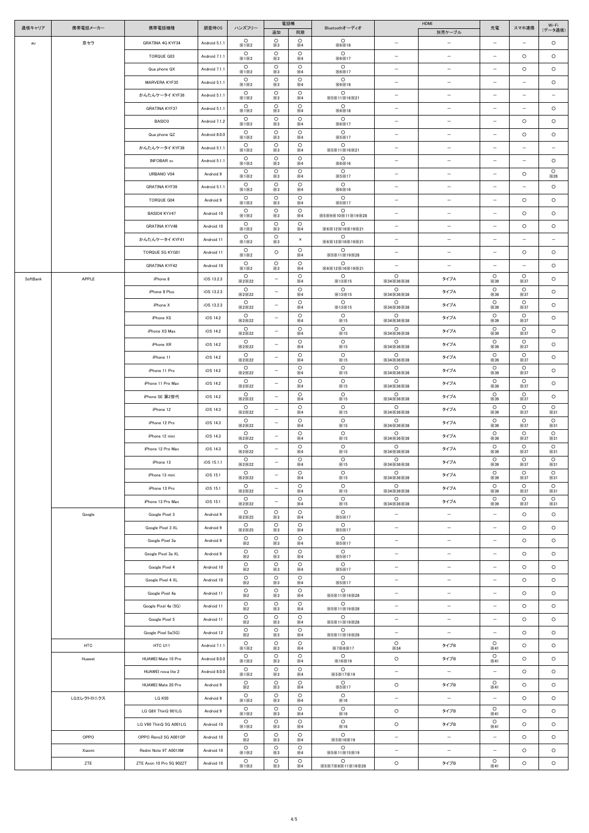| 通信キャリア   | 携帯電話メーカー      | 携帯電話機種                                           | 調査時OS                    | ハンズフリー                           | 電話帳                              |                                  | Bluetoothオーディオ                 |                                                      | HDMI                     | 充電                                                   | スマホ連携                    | Wi-Fi                    |
|----------|---------------|--------------------------------------------------|--------------------------|----------------------------------|----------------------------------|----------------------------------|--------------------------------|------------------------------------------------------|--------------------------|------------------------------------------------------|--------------------------|--------------------------|
|          |               |                                                  |                          |                                  | 追加                               | 同期                               |                                |                                                      | 別売ケーブル                   |                                                      |                          | (データ通信)                  |
| au       | 京セラ           | <b>GRATINA 4G KYF34</b>                          | Android 5.1.1            | $\circ$<br>X1X2                  | $\circ$<br>$\times3$             | $\circ$<br>$\times 4$            | $\circ$<br>×6×18               | $\overline{\phantom{m}}$                             | $\overline{\phantom{0}}$ | $\overline{\phantom{0}}$                             | -                        | $\circ$                  |
|          |               | TORQUE G03                                       | Android 7.1.1            | $\circ$<br>×1×2                  | $\circ$<br>$\times3$             | $\circ$<br>$\times 4$            | $\circ$<br>×6×17               | $\overline{\phantom{m}}$                             | $\overline{\phantom{m}}$ | $\overline{\phantom{0}}$                             | $\circ$                  | $\circ$                  |
|          |               | Qua phone QX                                     | Android 7.1.1            | $\circ$<br>X1X2                  | $\circ$<br>$\times3$             | $\circ$<br>$\times 4$            | $\circ$<br>$\times 6\times 17$ | $\overline{\phantom{m}}$                             | $\qquad \qquad -$        | $\qquad \qquad -$                                    | $\circ$                  | $\circ$                  |
|          |               | MARVERA KYF35                                    | Android 5.1.1            | $\circ$<br>X1X2                  | $\circ$<br>$\times3$             | $\circ$<br>$\times 4$            | $\circ$<br>×6×18               | $\overline{\phantom{m}}$                             | $\overline{\phantom{m}}$ | $\overline{\phantom{0}}$                             | $\overline{\phantom{0}}$ | $\circ$                  |
|          |               | かんたんケータイ KYF36                                   | Android 5.1.1            | $\circ$<br>X1X2                  | $\circ$<br>$\times3$             | $\circ$<br>$\times 4$            | $\circ$<br>X5X11X16X21         | $\overline{\phantom{m}}$                             | $\overline{\phantom{m}}$ | $\qquad \qquad -$                                    | $\qquad \qquad -$        | $\qquad \qquad -$        |
|          |               | <b>GRATINA KYF37</b>                             | Android 5.1.1            | $\circ$<br>X1X2                  | $\circ$<br>$\times3$             | $\circ$<br>$\times 4$            | $\circ$<br>×6×18               | $\overline{\phantom{m}}$                             | $\overline{\phantom{m}}$ | $\qquad \qquad -$                                    | $\overline{\phantom{0}}$ | $\circ$                  |
|          |               | BASIO3                                           | Android 7.1.2            | $\circ$<br>X1X2                  | $\circ$<br>$\times3$             | $\circ$<br>$\times 4$            | $\circ$<br>×6×17               | $\qquad \qquad -$                                    | $\overline{\phantom{m}}$ | $\qquad \qquad -$                                    | $\circ$                  | $\circ$                  |
|          |               | Qua phone QZ                                     | Android 8.0.0            | $\circ$<br>X1X2                  | $\circ$<br>$\times 3$            | $\circ$<br>$\times 4$            | $\circ$<br>X5X17               | $\overline{\phantom{0}}$                             | $\overline{\phantom{m}}$ | $\qquad \qquad -$                                    | $\circ$                  | $\circ$                  |
|          |               | かんたんケータイ KYF38                                   | Android 5.1.1            | $\circ$<br>X1X2                  | $\circ$<br>$\times3$             | $\circ$<br>$\times 4$            | $\circ$<br>X5X11X16X21         | $\qquad \qquad -$                                    | $\qquad \qquad -$        | $\qquad \qquad -$                                    | $\overline{\phantom{0}}$ | $\qquad \qquad -$        |
|          |               | <b>INFOBAR xv</b>                                | Android 5.1.1            | $\circ$<br>X1X2                  | $\circ$<br>$\times3$             | $\circ$<br>$\times 4$            | $\circ$<br>×6×16               | $\overline{\phantom{m}}$                             | $\overline{\phantom{m}}$ | $\overline{\phantom{0}}$                             | $\overline{\phantom{0}}$ | $\circ$                  |
|          |               | URBANO V04                                       | Android 9                | $\circ$<br>×1×2                  | $\circ$<br>$\times3$             | $\circ$<br>$\times 4$            | $\circ$<br>×5×17               | $\overline{\phantom{m}}$                             | $\qquad \qquad -$        | $\qquad \qquad -$                                    | $\circ$                  | $\circ$<br>$\times 26$   |
|          |               | <b>GRATINA KYF39</b>                             | Android 5.1.1            | $\circ$<br>X1X2                  | $\circ$<br>$\times3$             | $\circ$<br>$\times 4$            | $\circ$<br>×6×16               | $\overline{\phantom{a}}$                             | $\overline{\phantom{m}}$ | $-$                                                  | $\overline{\phantom{m}}$ | $\circ$                  |
|          |               | <b>TORQUE G04</b>                                | Android 9                | $\circ$<br>×1×2                  | $\circ$<br>$\times3$             | $\circ$<br>$\times 4$            | $\circ$<br>×5×17               | $\qquad \qquad -$                                    | $\overline{\phantom{m}}$ | $\qquad \qquad -$                                    | $\circ$                  | $\circ$                  |
|          |               | BASIO4 KYV47                                     | Android 10               | $\circ$<br>X1X2                  | $\circ$<br>$\times3$             | $\circ$<br>$\times 4$            | $\circ$<br>※5※9※10※11※19※28    | $\qquad \qquad -$                                    | $\overline{\phantom{m}}$ | $\overline{\phantom{0}}$                             | $\circ$                  | $\circ$                  |
|          |               | <b>GRATINA KYV48</b>                             | Android 10               | $\circ$<br>X1X2                  | $\circ$<br>$\times3$             | $\circ$<br>$\times 4$            | $\circ$<br>×6×12×16×19×21      | $\qquad \qquad -$                                    | $\overline{\phantom{m}}$ | $\overline{\phantom{0}}$                             | $\circ$                  | $\circ$                  |
|          |               | かんたんケータイ KYF41                                   | Android 11               | $\circ$<br>X1X2                  | $\circ$<br>$\times3$             | $\times$                         | $\circ$<br>※6※12※16※19※21      | $\qquad \qquad -$                                    | $\overline{\phantom{m}}$ | $\qquad \qquad -$                                    | $\overline{\phantom{0}}$ | $\overline{\phantom{m}}$ |
|          |               | TORQUE 5G KYG01                                  | Android 11               | $\circ$<br>X1X2                  | $\circ$                          | $\circ$<br>$\times 4$            | $\circ$<br>X5X11X19X28         | $\qquad \qquad -$                                    | $\overline{\phantom{m}}$ | $\qquad \qquad -$                                    | $\circ$                  | $\circ$                  |
|          |               | <b>GRATINA KYF42</b>                             | Android 10               | $\circ$<br>×1×2                  | $\circ$<br>$\times3$             | $\circ$<br>$\times 4$            | $\circ$<br>※6※12※16※19※21      | $\qquad \qquad -$                                    | $\overline{\phantom{m}}$ | $\qquad \qquad -$                                    | $\overline{\phantom{0}}$ | $\circ$                  |
| SoftBank | APPLE         | iPhone 8                                         | iOS 13.2.3               | $\circ$<br>X2X22                 | $-$                              | $\circ$<br>$\times 4$            | $\circ$<br><b>X13X15</b>       | $\circ$<br>$\times$ 34 $\times$ 36 $\times$ 38       | タイプA                     | $\circ$<br>$\times$ 39                               | $\circ$<br>$\times$ 37   | $\circ$                  |
|          |               | iPhone 8 Plus                                    | iOS 13.2.3               | $\circ$<br>X2X22                 | $-$                              | $\circ$<br>$\times 4$            | $\circ$<br><b>※13※15</b>       | $\circ$<br>$\times$ 34 $\times$ 36 $\times$ 38       | タイプA                     | $\circ$<br>$\times$ 39                               | $\circ$<br>$\times$ 37   | $\circ$                  |
|          |               | iPhone X                                         | iOS 13.2.3               | $\circ$<br>×2×22                 | $\overline{\phantom{m}}$         | $\circ$<br>$\times 4$            | $\circ$<br><b>×13×15</b>       | $\circ$<br>×34×36×38                                 | タイプA                     | $\circ$<br>$\times$ 39                               | $\circ$<br>$\times$ 37   | $\circ$                  |
|          |               | iPhone XS                                        | iOS 14.2                 | $\circ$<br>X2X22                 | $\overline{\phantom{m}}$         | $\circ$<br>$\times 4$            | $\circ$<br>×15                 | $\circ$<br>$\times$ 34 $\times$ 36 $\times$ 38       | タイプA                     | $\circ$<br>$\times$ 39                               | $\circ$<br>$\times$ 37   | $\circ$                  |
|          |               | iPhone XS Max                                    | iOS 14.2                 | $\circ$<br>×2×22                 |                                  | $\circ$<br>$\times 4$            | $\circ$<br>×15                 | $\circ$<br>$\times$ 34 $\times$ 36 $\times$ 38       | タイプA                     | $\circ$<br>$\times$ 39                               | $\circ$<br>$\times$ 37   | $\circ$                  |
|          |               | iPhone XR                                        | iOS 14.2                 | $\circ$<br>X2X22                 | $\overline{\phantom{m}}$         | $\circ$<br>$\times 4$            | $\circ$<br>×15                 | $\circ$<br>$\times$ 34 $\times$ 36 $\times$ 38       | タイプA                     | $\circ$<br>$\times$ 39                               | $\circ$<br>$\times$ 37   | $\circ$                  |
|          |               | iPhone 11                                        | iOS 14.2                 | $\circ$<br>X2X22                 | $\qquad \qquad -$                | $\circ$<br>$\times 4$            | $\circ$<br>×15                 | $\circ$<br>$\times$ 34 $\times$ 36 $\times$ 38       | タイプA                     | $\circ$<br>$\times$ 39                               | $\circ$<br>$\times$ 37   | $\circ$                  |
|          |               | iPhone 11 Pro                                    | iOS 14.2                 | $\circ$<br>X2X22                 | $\qquad \qquad -$                | $\circ$<br>$\times 4$            | $\circ$<br>×15                 | $\circ$<br>$\times$ 34 $\times$ 36 $\times$ 38       | タイプA                     | $\circ$<br>$\times$ 39                               | $\circ$<br>$\times$ 37   | $\circ$                  |
|          |               | iPhone 11 Pro Max                                | iOS 14.2                 | $\circ$<br>X2X22                 | $\qquad \qquad -$                | $\circ$<br>$\times 4$            | $\circ$<br>×15                 | $\circ$<br>×34×36×38                                 | タイプA                     | $\circ$<br>$\times$ 39                               | $\circ$<br>$\times$ 37   | $\circ$                  |
|          |               | iPhone SE 第2世代                                   | iOS 14.2                 | $\circ$<br>X2X22                 | $\qquad \qquad -$                | $\circ$<br>$\times 4$            | $\circ$<br>×15                 | $\circ$<br>$\times$ 34 $\times$ 36 $\times$ 38       | タイプA                     | $\circ$<br>$\times$ 39                               | $\circ$<br>$\times$ 37   | $\circ$                  |
|          |               | iPhone 12                                        | iOS 14.3                 | $\circ$<br>X2X22                 | $-$                              | $\circ$<br>$\times 4$            | $\circ$<br>×15                 | $\circ$<br>$\times$ 34 $\times$ 36 $\times$ 38       | タイプA                     | $\circ$<br>$\times$ 39                               | $\circ$<br>$\times$ 37   | $\circ$<br>×31           |
|          |               | iPhone 12 Pro                                    | iOS 14.3                 | $\circ$<br>X2X22                 | $\overline{\phantom{m}}$         | $\circ$<br>$\times 4$            | $\circ$<br>×15                 | $\circ$<br>$\times$ 34 $\times$ 36 $\times$ 38       | タイプA                     | $\circ$<br>$\times$ 39                               | $\circ$<br>$\times$ 37   | $\circ$<br>×31           |
|          |               | iPhone 12 mini                                   | iOS 14.3                 | $\circ$<br>X2X22                 | $-$                              | $\circ$<br>$\times 4$            | $\circ$<br>×15                 | $\circ$<br>$\times$ 34 $\times$ 36 $\times$ 38       | タイプA                     | $\circ$<br>$\times$ 39                               | $\circ$<br>$\times$ 37   | $\circ$<br>×31           |
|          |               | iPhone 12 Pro Max                                | iOS 14.3                 | $\circ$<br>X2X22                 | $\overline{\phantom{m}}$         | $\circ$<br>$\times 4$            | $\circ$<br>×15                 | $\circ$<br>$\times$ 34 $\times$ 36 $\times$ 38       | タイプA                     | $\circ$<br>$\times$ 39                               | $\circ$<br>$\times$ 37   | $\circ$<br>$\times$ 31   |
|          |               | iPhone 13                                        | iOS 15.1.1               | $\circ$<br>X2X22                 | $\overline{\phantom{m}}$         | $\circ$<br>$\times 4$            | $\circ$<br>×15                 | $\circ$<br>$\times$ 34 $\times$ 36 $\times$ 38       | タイプA                     | $\circ$<br>$\times$ 39                               | $\circ$<br>$\times$ 37   | $\circ$<br>×31           |
|          |               | iPhone 13 mini                                   | iOS 15.1                 | $\circ$<br>X2X22                 | $\overline{\phantom{m}}$         | $\circ$<br>$\times 4$            | $\circ$<br>×15                 | $\circ$<br>$\times$ 34 $\times$ 36 $\times$ 38       | タイプA                     | $\circ$<br>$\times$ 39                               | $\circ$<br>$\times$ 37   | $\circ$<br>×31           |
|          |               | iPhone 13 Pro                                    | iOS 15.1                 | $\circ$<br>X2X22                 | $\qquad \qquad -$                | $\circ$<br>$\times 4$            | $\circ$<br>×15                 | $\circ$<br>$\times$ 34 $\times$ 36 $\times$ 38       | タイプA                     | $\circ$<br>$\times$ 39                               | $\circ$<br>×37           | $\circ$<br>×31           |
|          |               | iPhone 13 Pro Max                                | iOS 15.1                 | $\circ$<br>X2X22                 | $\overline{\phantom{m}}$         | $\circ$<br>$\times 4$            | $\circ$<br>×15                 | $\circ$<br>$\times$ 34 $\times$ 36 $\times$ 38       | タイプA                     | $\circ$<br>$\times$ 39                               | $\circ$<br>$\times$ 37   | $\circ$<br>$\times$ 31   |
|          | Google        | Google Pixel 3                                   | Android 9                | $\circ$<br>X2X25                 | $\circ$<br>$\times 3$            | $\circ$<br>$\times 4$            | $\circ$<br>X5X17               | $\overline{\phantom{m}}$                             | $\overline{\phantom{m}}$ | $-$                                                  | $\circ$                  | $\circ$                  |
|          |               | Google Pixel 3 XL                                | Android 9                | $\circ$<br>X2X25                 | $\circ$<br>$\times3$             | $\circ$<br>$\times 4$            | $\circ$<br>×5×17               | $\qquad \qquad -$                                    | $\overline{\phantom{m}}$ | $\qquad \qquad -$                                    | $\circ$                  | $\circ$                  |
|          |               | Google Pixel 3a                                  | Android 9                | $\circ$<br>$\times 2$            | $\circ$<br>$\times 3$            | $\circ$<br>$\times 4$            | $\circ$<br><b>X5X17</b>        | $\overline{\phantom{a}}$                             | $\overline{\phantom{m}}$ | $\overline{\phantom{0}}$                             | $\circ$                  | $\circ$                  |
|          |               | Google Pixel 3a XL                               | Android 9                | $\circ$<br>$\times 2$            | $\circ$<br>$\times 3$            | $\circ$<br>$\times 4$            | $\circ$<br>×5×17               | $\overline{\phantom{m}}$                             | $\overline{\phantom{m}}$ | $\qquad \qquad -$                                    | $\circ$                  | $\circ$                  |
|          |               | Google Pixel 4                                   | Android 10               | $\circ$<br>$\times 2$            | $\circ$<br>$\times 3$            | $\circ$<br>$\times 4$            | $\circ$<br>X5X17               | $\overline{\phantom{a}}$                             | $\overline{\phantom{m}}$ | $\qquad \qquad -$                                    | $\circ$                  | $\circ$                  |
|          |               | Google Pixel 4 XL                                | Android 10               | $\circ$<br>$\times 2$            | $\circ$<br>$\times3$             | $\circ$<br>$\times 4$            | $\circ$<br>X5X17               | $\overline{\phantom{m}}$                             | $\qquad \qquad -$        | $\qquad \qquad -$                                    | $\circ$                  | $\circ$                  |
|          |               | Google Pixel 4a                                  | Android 11               | $\circ$<br>$\times 2$            | $\circ$<br>$\times 3$            | $\circ$<br>$\times 4$            | $\circ$<br>X5X11X19X28         | $\overline{\phantom{m}}$                             | $\overline{\phantom{m}}$ | $\qquad \qquad -$                                    | $\circ$                  | $\circ$                  |
|          |               | Google Pixel 4a (5G)                             | Android 11               | $\circ$<br>$\times 2$            | $\circ$<br>$\times 3$            | $\circ$<br>$\times 4$            | $\circ$<br>X5X11X19X28         | $\overline{\phantom{m}}$                             | $\overline{\phantom{m}}$ | $\qquad \qquad -$                                    | $\circ$                  | $\circ$                  |
|          |               | Google Pixel 5                                   | Android 11               | $\circ$<br>$\times 2$            | $\circ$<br>$\times 3$            | $\circ$<br>$\times 4$            | $\circ$<br>X5X11X19X28         | $\qquad \qquad -$                                    | $\qquad \qquad -$        | $\qquad \qquad -$                                    | $\circ$                  | $\circ$                  |
|          |               | Google Pixel 5a(5G)                              | Android 12               | $\circ$<br>$\times 2$            | $\circ$<br>$\times3$             | $\circ$<br>$\times 4$            | $\circ$<br>X5X11X19X28         | $\overline{\phantom{m}}$                             | $\qquad \qquad -$        | $-$                                                  | $\circ$                  | $\circ$                  |
|          | HTC           | HTC U11                                          | Android 7.1.1            | $\circ$<br>X1X2                  | $\circ$<br>$\times 3$            | $\circ$<br>$\times 4$            | $\circ$<br>X7X8X17             | $\circ$<br>$\times$ 34                               | タイプB                     | $\circ$<br>$\times 41$                               | $\circ$                  | $\circ$                  |
|          | Huawei        | HUAWEI Mate 10 Pro                               | Android 8.0.0            | $\circ$<br>×1×2                  | $\circ$<br>$\times$ 3            | $\circ$<br>$\times 4$            | $\circ$<br>×16×19              | $\circ$                                              | タイプB                     | $\circ$<br>$\times 41$                               | $\circ$                  | $\circ$                  |
|          |               | HUAWEI nova lite 2                               | Android 8.0.0            | $\circ$<br>X1X2                  | $\circ$<br>$\times 3$            | $\circ$<br>$\times 4$            | $\circ$<br>X5X17X19            | $\overline{\phantom{m}}$                             | $-$                      | $\overline{\phantom{a}}$                             | $\circ$                  | $\circ$                  |
|          |               | HUAWEI Mate 20 Pro                               | Android 9                | $\circ$<br>$\times 2$<br>$\circ$ | $\circ$<br>$\times$ 3<br>$\circ$ | $\circ$<br>$\times 4$<br>$\circ$ | $\circ$<br>X5X17<br>$\circ$    | $\circ$                                              | タイプB                     | $\circ$<br>$\times 41$                               | $\circ$                  | $\circ$                  |
|          | LGエレクトロニクス    | <b>LG K50</b>                                    | Android 9                | X1X2<br>$\circ$                  | $\times 3$<br>$\circ$            | $\times 4$<br>$\circ$            | ×16<br>$\circ$                 | $\overline{\phantom{m}}$                             | $-$                      | $\overline{\phantom{m}}$<br>$\circ$                  | $\circ$                  | $\circ$                  |
|          |               | LG G8X ThinQ 901LG                               | Android 9                | X1X2<br>$\circ$                  | $\times3$<br>$\circ$             | $\times 4$<br>$\circ$            | ×16<br>$\circ$                 | $\circ$                                              | タイプB                     | $\times 41$<br>$\circ$                               | $\circ$                  | $\circ$                  |
|          |               | LG V60 ThinQ 5G A001LG                           | Android 10               | ×1×2<br>$\circ$                  | $\times 3$<br>$\circ$            | $\times 4$<br>$\circ$            | ×16<br>$\circ$                 | $\circ$                                              | タイプB                     | $\times 41$                                          | $\circ$                  | $\circ$                  |
|          | OPPO          | OPPO Reno3 5G A001OP                             | Android 10               | $\times 2$<br>$\circ$            | $\times 3$<br>$\circ$            | $\times 4$<br>$\circ$            | X5X16X19<br>$\circ$            | $\overline{\phantom{m}}$<br>$\overline{\phantom{m}}$ | $-$                      | $\overline{\phantom{m}}$<br>$\overline{\phantom{m}}$ | $\circ$<br>$\circ$       | $\circ$                  |
|          | Xiaomi<br>ZTE | Redmi Note 9T A001XM<br>ZTE Axon 10 Pro 5G 902ZT | Android 10<br>Android 10 | ×1×2<br>$\circ$                  | $\times$ 3<br>$\circ$            | $\times 4$<br>$\circ$            | X5X11X15X19<br>$\circ$         | $\circ$                                              | $-$<br>タイプB              | $\circ$                                              | $\circ$                  | $\circ$<br>$\circ$       |
|          |               |                                                  |                          | ×1×2                             | $\times 3$                       | $\times 4$                       | ※5※7※8※11※19※28                |                                                      |                          | $\times 41$                                          |                          |                          |